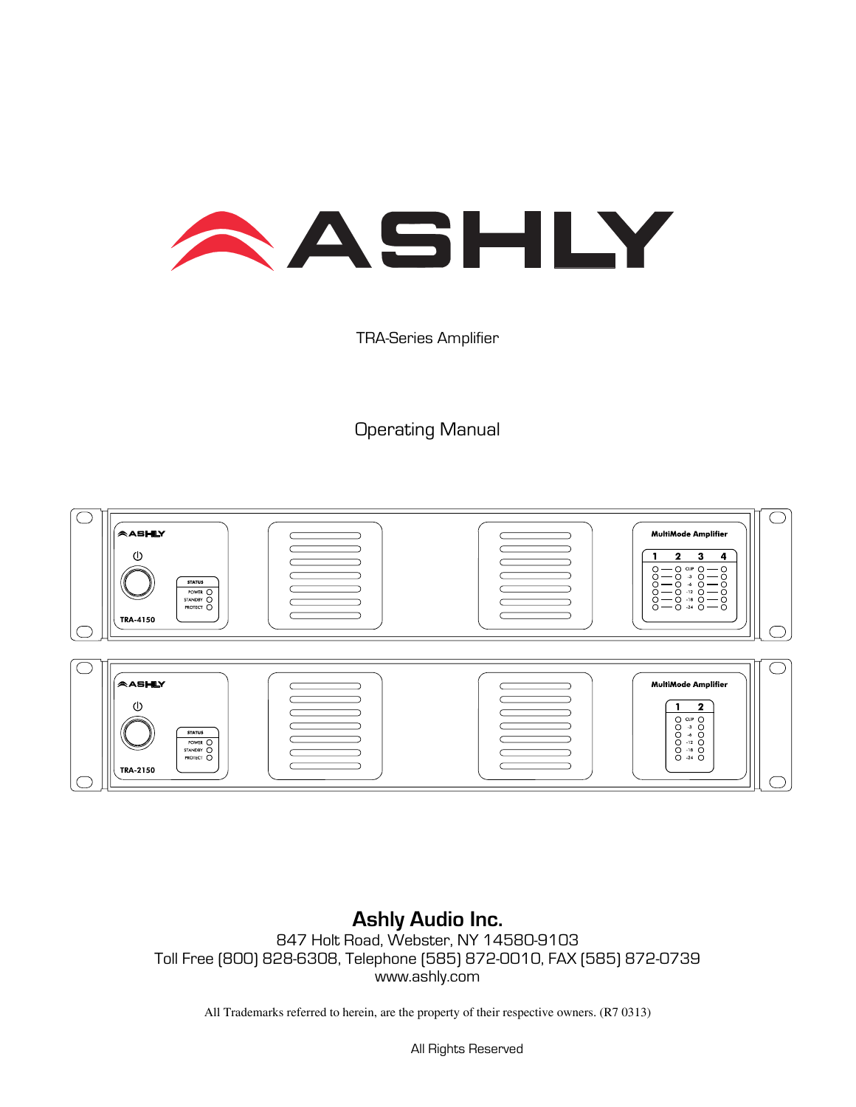

### TRA-Series Amplifier

## Operating Manual



**Ashly Audio Inc.**  847 Holt Road, Webster, NY 14580-9103 Toll Free (800) 828-6308, Telephone (585) 872-0010, FAX (585) 872-0739 www.ashly.com

All Trademarks referred to herein, are the property of their respective owners. (R7 0313)

All Rights Reserved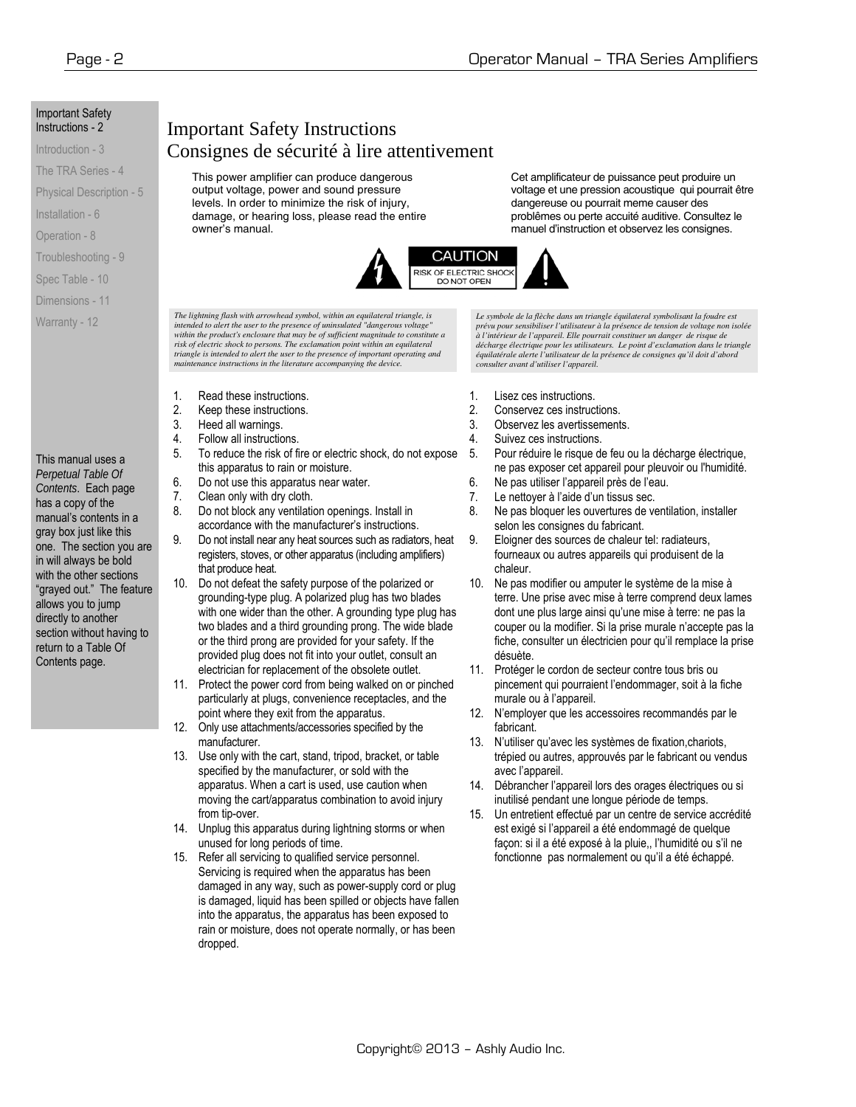#### Important Safety Instructions - 2

#### Introduction - 3

The TRA Series - 4

Physical Description - 5

Installation - 6

Operation - 8

Troubleshooting - 9

Spec Table - 10

Dimensions - 11

Warranty - 12

#### This manual uses a

*Perpetual Table Of Contents*. Each page has a copy of the manual's contents in a gray box just like this one. The section you are in will always be bold with the other sections "grayed out." The feature allows you to jump directly to another section without having to return to a Table Of Contents page.

## Important Safety Instructions Consignes de sécurité à lire attentivement

This power amplifier can produce dangerous output voltage, power and sound pressure levels. In order to minimize the risk of injury, damage, or hearing loss, please read the entire owner's manual.

Cet amplificateur de puissance peut produire un voltage et une pression acoustique qui pourrait être dangereuse ou pourrait meme causer des problêmes ou perte accuité auditive. Consultez le manuel d'instruction et observez les consignes.



*The lightning flash with arrowhead symbol, within an equilateral triangle, is intended to alert the user to the presence of uninsulated "dangerous voltage"*  within the product's enclosure that may be of sufficient magnitude to constitute a<br>risk of electric shock to persons. The exclamation point within an equilateral *triangle is intended to alert the user to the presence of important operating and maintenance instructions in the literature accompanying the device.* 

- 1. Read these instructions.
- 2. Keep these instructions.
- 3. Heed all warnings.
- 4. Follow all instructions.
- 5. To reduce the risk of fire or electric shock, do not expose this apparatus to rain or moisture.
- 6. Do not use this apparatus near water.<br>7. Clean only with dry cloth.
	- Clean only with dry cloth.
- 8. Do not block any ventilation openings. Install in accordance with the manufacturer's instructions.
- 9. Do not install near any heat sources such as radiators, heat registers, stoves, or other apparatus (including amplifiers) that produce heat.
- 10. Do not defeat the safety purpose of the polarized or grounding-type plug. A polarized plug has two blades with one wider than the other. A grounding type plug has two blades and a third grounding prong. The wide blade or the third prong are provided for your safety. If the provided plug does not fit into your outlet, consult an electrician for replacement of the obsolete outlet.
- 11. Protect the power cord from being walked on or pinched particularly at plugs, convenience receptacles, and the point where they exit from the apparatus.
- 12. Only use attachments/accessories specified by the manufacturer.
- 13. Use only with the cart, stand, tripod, bracket, or table specified by the manufacturer, or sold with the apparatus. When a cart is used, use caution when moving the cart/apparatus combination to avoid injury from tip-over.
- 14. Unplug this apparatus during lightning storms or when unused for long periods of time.
- 15. Refer all servicing to qualified service personnel. Servicing is required when the apparatus has been damaged in any way, such as power-supply cord or plug is damaged, liquid has been spilled or objects have fallen into the apparatus, the apparatus has been exposed to rain or moisture, does not operate normally, or has been dropped.

*Le symbole de la flèche dans un triangle équilateral symbolisant la foudre est prévu pour sensibiliser l'utilisateur à la présence de tension de voltage non isolée à l'intérieur de l'appareil. Elle pourrait constituer un danger de risque de décharge électrique pour les utilisateurs. Le point d'exclamation dans le triangle équilatérale alerte l'utilisateur de la présence de consignes qu'il doit d'abord consulter avant d'utiliser l'appareil.* 

- 1. Lisez ces instructions.
- 2. Conservez ces instructions.
- 3. Observez les avertissements.
- 4. Suivez ces instructions.
- 5. Pour réduire le risque de feu ou la décharge électrique, ne pas exposer cet appareil pour pleuvoir ou l'humidité.
- 6. Ne pas utiliser l'appareil près de l'eau.
- 7. Le nettoyer à l'aide d'un tissus sec.
- 8. Ne pas bloquer les ouvertures de ventilation, installer selon les consignes du fabricant.
- 9. Eloigner des sources de chaleur tel: radiateurs, fourneaux ou autres appareils qui produisent de la chaleur.
- 10. Ne pas modifier ou amputer le système de la mise à terre. Une prise avec mise à terre comprend deux lames dont une plus large ainsi qu'une mise à terre: ne pas la couper ou la modifier. Si la prise murale n'accepte pas la fiche, consulter un électricien pour qu'il remplace la prise désuète.
- 11. Protéger le cordon de secteur contre tous bris ou pincement qui pourraient l'endommager, soit à la fiche murale ou à l'appareil.
- 12. N'employer que les accessoires recommandés par le fabricant.
- 13. N'utiliser qu'avec les systèmes de fixation,chariots, trépied ou autres, approuvés par le fabricant ou vendus avec l'appareil.
- 14. Débrancher l'appareil lors des orages électriques ou si inutilisé pendant une longue période de temps.
- 15. Un entretient effectué par un centre de service accrédité est exigé si l'appareil a été endommagé de quelque façon: si il a été exposé à la pluie,, l'humidité ou s'il ne fonctionne pas normalement ou qu'il a été échappé.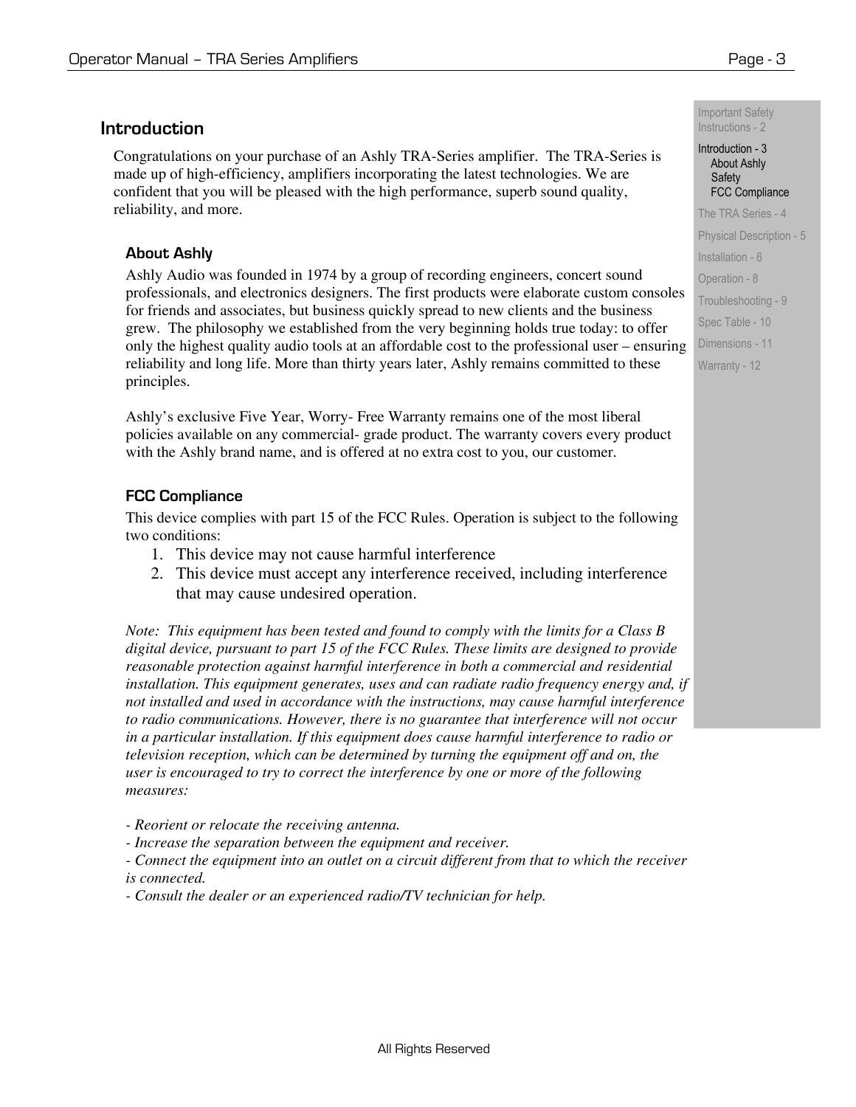### **Introduction**

Congratulations on your purchase of an Ashly TRA-Series amplifier. The TRA-Series is made up of high-efficiency, amplifiers incorporating the latest technologies. We are confident that you will be pleased with the high performance, superb sound quality, reliability, and more.

### **About Ashly**

Ashly Audio was founded in 1974 by a group of recording engineers, concert sound professionals, and electronics designers. The first products were elaborate custom consoles for friends and associates, but business quickly spread to new clients and the business grew. The philosophy we established from the very beginning holds true today: to offer only the highest quality audio tools at an affordable cost to the professional user – ensuring reliability and long life. More than thirty years later, Ashly remains committed to these principles.

Ashly's exclusive Five Year, Worry- Free Warranty remains one of the most liberal policies available on any commercial- grade product. The warranty covers every product with the Ashly brand name, and is offered at no extra cost to you, our customer.

#### **FCC Compliance**

This device complies with part 15 of the FCC Rules. Operation is subject to the following two conditions:

- 1. This device may not cause harmful interference
- 2. This device must accept any interference received, including interference that may cause undesired operation.

*Note: This equipment has been tested and found to comply with the limits for a Class B digital device, pursuant to part 15 of the FCC Rules. These limits are designed to provide reasonable protection against harmful interference in both a commercial and residential installation. This equipment generates, uses and can radiate radio frequency energy and, if not installed and used in accordance with the instructions, may cause harmful interference to radio communications. However, there is no guarantee that interference will not occur in a particular installation. If this equipment does cause harmful interference to radio or television reception, which can be determined by turning the equipment off and on, the user is encouraged to try to correct the interference by one or more of the following measures:* 

*- Reorient or relocate the receiving antenna.* 

*- Increase the separation between the equipment and receiver.* 

*- Connect the equipment into an outlet on a circuit different from that to which the receiver is connected.* 

*- Consult the dealer or an experienced radio/TV technician for help.*

Important Safety Instructions - 2

#### Introduction - 3 About Ashly **Safety** FCC Compliance

The TRA Series - 4 Physical Description - 5 Installation - 6 Operation - 8 Troubleshooting - 9 Spec Table - 10 Dimensions - 11 Warranty - 12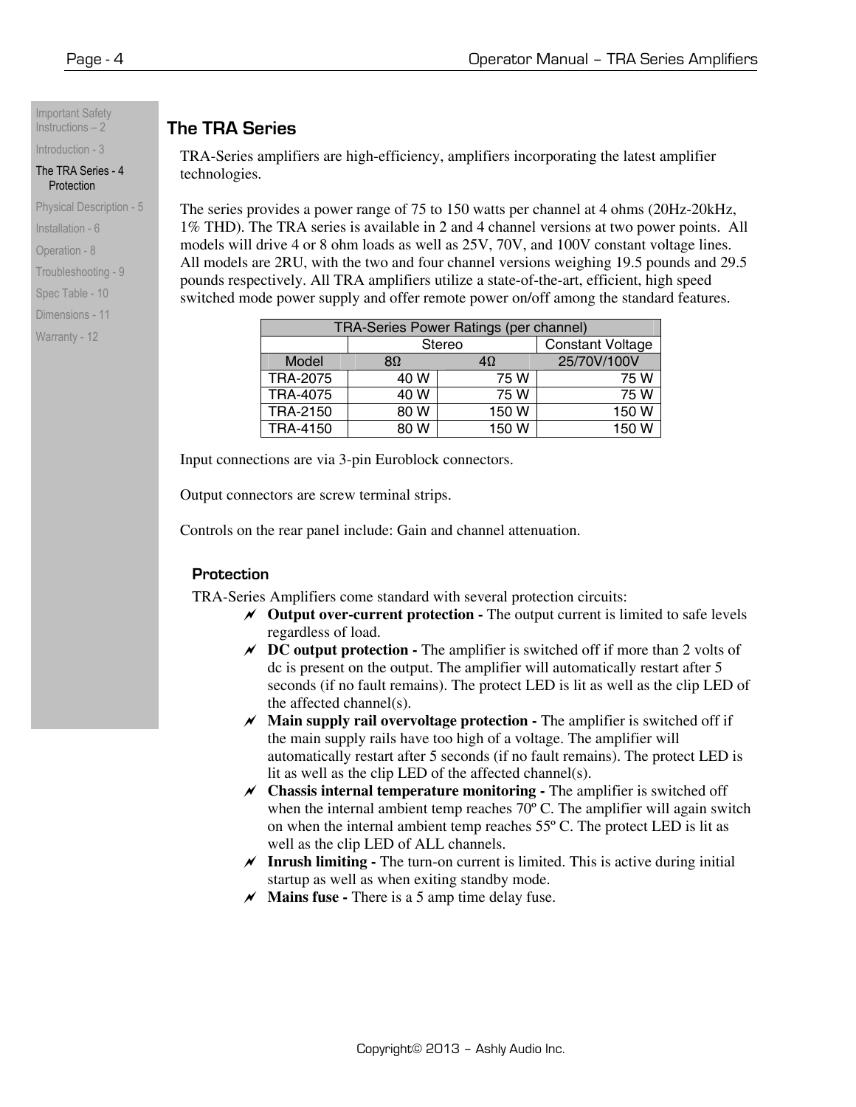#### Important Safety Instructions – 2

Introduction - 3 The TRA Series - 4 **Protection** 

Physical Description - 5

Installation - 6

Operation - 8

Troubleshooting - 9

Spec Table - 10

Dimensions - 11

Warranty - 12

## **The TRA Series**

TRA-Series amplifiers are high-efficiency, amplifiers incorporating the latest amplifier technologies.

The series provides a power range of 75 to 150 watts per channel at 4 ohms (20Hz-20kHz, 1% THD). The TRA series is available in 2 and 4 channel versions at two power points. All models will drive 4 or 8 ohm loads as well as 25V, 70V, and 100V constant voltage lines. All models are 2RU, with the two and four channel versions weighing 19.5 pounds and 29.5 pounds respectively. All TRA amplifiers utilize a state-of-the-art, efficient, high speed switched mode power supply and offer remote power on/off among the standard features.

| TRA-Series Power Ratings (per channel) |      |               |                         |  |  |  |  |  |
|----------------------------------------|------|---------------|-------------------------|--|--|--|--|--|
|                                        |      | <b>Stereo</b> | <b>Constant Voltage</b> |  |  |  |  |  |
| Model                                  | 8Ω   | 4Ω            | 25/70V/100V             |  |  |  |  |  |
| <b>TRA-2075</b>                        | 40 W | 75 W          | 75 W                    |  |  |  |  |  |
| <b>TRA-4075</b>                        | 40 W | 75 W          | 75 W                    |  |  |  |  |  |
| TRA-2150                               | 80 W | 150 W         | 150 W                   |  |  |  |  |  |
| <b>TRA-4150</b>                        | 80 W | 150W          | 150 W                   |  |  |  |  |  |

Input connections are via 3-pin Euroblock connectors.

Output connectors are screw terminal strips.

Controls on the rear panel include: Gain and channel attenuation.

### **Protection**

TRA-Series Amplifiers come standard with several protection circuits:

- a **Output over-current protection** The output current is limited to safe levels regardless of load.
- $\chi$  **DC output protection -** The amplifier is switched off if more than 2 volts of dc is present on the output. The amplifier will automatically restart after 5 seconds (if no fault remains). The protect LED is lit as well as the clip LED of the affected channel(s).
- $M$  **Main supply rail overvoltage protection -** The amplifier is switched off if the main supply rails have too high of a voltage. The amplifier will automatically restart after 5 seconds (if no fault remains). The protect LED is lit as well as the clip LED of the affected channel(s).
- $\chi$  **Chassis internal temperature monitoring -** The amplifier is switched off when the internal ambient temp reaches 70<sup>°</sup> C. The amplifier will again switch on when the internal ambient temp reaches 55º C. The protect LED is lit as well as the clip LED of ALL channels.
- $\chi$  **Inrush limiting -** The turn-on current is limited. This is active during initial startup as well as when exiting standby mode.
- $\mathcal M$  **Mains fuse** There is a 5 amp time delay fuse.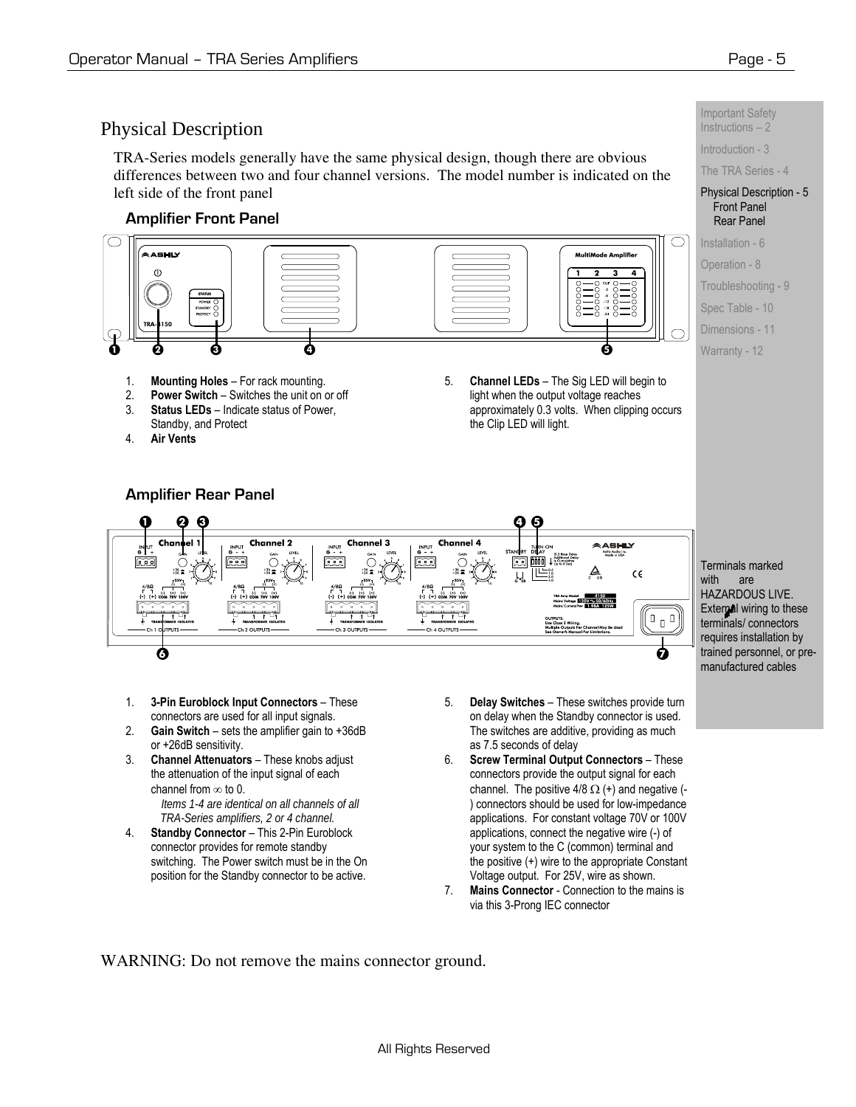

TRA-Series models generally have the same physical design, though there are obvious differences between two and four channel versions. The model number is indicated on the left side of the front panel

#### **Amplifier Front Panel**



- 1. **Mounting Holes** For rack mounting. 2. **Power Switch** – Switches the unit on or off
- 3. **Status LEDs** Indicate status of Power,
- Standby, and Protect

**Amplifier Rear Panel** 

4. **Air Vents**

5. **Channel LEDs** – The Sig LED will begin to light when the output voltage reaches approximately 0.3 volts. When clipping occurs the Clip LED will light.

Important Safety Instructions – 2

Introduction - 3

#### The TRA Series - 4

#### Physical Description - 5 Front Panel Rear Panel

Installation - 6

Operation - 8

Troubleshooting - 9

Spec Table - 10

Dimensions - 11

Warranty - 12

Channel 2 Channel 3 Channel **AARUIY**  $\boxed{23}$   $\boxed{000}$   $\downarrow$ 읇⊫  $\epsilon$  $\mathbb{R}^{\mathbb{D}}$  $\begin{array}{c} \square \end{array}$ ค 6

Terminals marked with are HAZARDOUS LIVE. External wiring to these terminals/ connectors requires installation by trained personnel, or premanufactured cables

- 1. **3-Pin Euroblock Input Connectors** These connectors are used for all input signals.
- 2. **Gain Switch** sets the amplifier gain to +36dB or +26dB sensitivity.
- 3. **Channel Attenuators**  These knobs adjust the attenuation of the input signal of each channel from  $\infty$  to 0. *Items 1-4 are identical on all channels of all*
- *TRA-Series amplifiers, 2 or 4 channel.*  4. **Standby Connector** – This 2-Pin Euroblock connector provides for remote standby switching. The Power switch must be in the On position for the Standby connector to be active.
- 5. **Delay Switches** These switches provide turn on delay when the Standby connector is used. The switches are additive, providing as much as 7.5 seconds of delay
- 6. **Screw Terminal Output Connectors** These connectors provide the output signal for each channel. The positive  $4/8 \Omega$  (+) and negative (-) connectors should be used for low-impedance applications. For constant voltage 70V or 100V applications, connect the negative wire (-) of your system to the C (common) terminal and the positive (+) wire to the appropriate Constant Voltage output. For 25V, wire as shown.
- 7. **Mains Connector** Connection to the mains is via this 3-Prong IEC connector

WARNING: Do not remove the mains connector ground.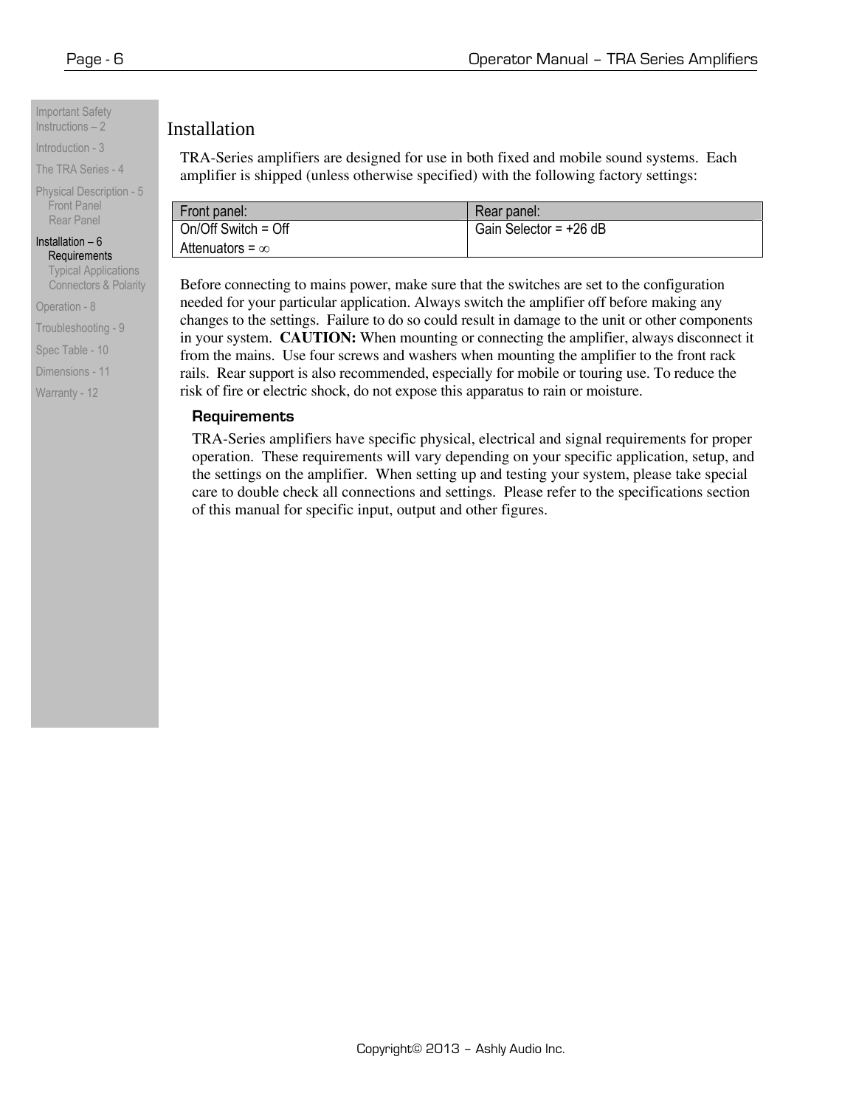Important Safety Instructions  $-2$ 

Introduction - 3

The TRA Series - 4

Physical Description - 5 Front Panel Rear Panel

Installation  $-6$ Requirements

Typical Applications Connectors & Polarity

Operation - 8

Troubleshooting - 9

Spec Table - 10

Dimensions - 11

Warranty - 12

### Installation

TRA-Series amplifiers are designed for use in both fixed and mobile sound systems. Each amplifier is shipped (unless otherwise specified) with the following factory settings:

| Front panel:           | Rear panel:              |
|------------------------|--------------------------|
| On/Off Switch = Off    | Gain Selector = $+26$ dB |
| Attenuators = $\infty$ |                          |

Before connecting to mains power, make sure that the switches are set to the configuration needed for your particular application. Always switch the amplifier off before making any changes to the settings. Failure to do so could result in damage to the unit or other components in your system. **CAUTION:** When mounting or connecting the amplifier, always disconnect it from the mains. Use four screws and washers when mounting the amplifier to the front rack rails. Rear support is also recommended, especially for mobile or touring use. To reduce the risk of fire or electric shock, do not expose this apparatus to rain or moisture.

#### **Requirements**

TRA-Series amplifiers have specific physical, electrical and signal requirements for proper operation. These requirements will vary depending on your specific application, setup, and the settings on the amplifier. When setting up and testing your system, please take special care to double check all connections and settings. Please refer to the specifications section of this manual for specific input, output and other figures.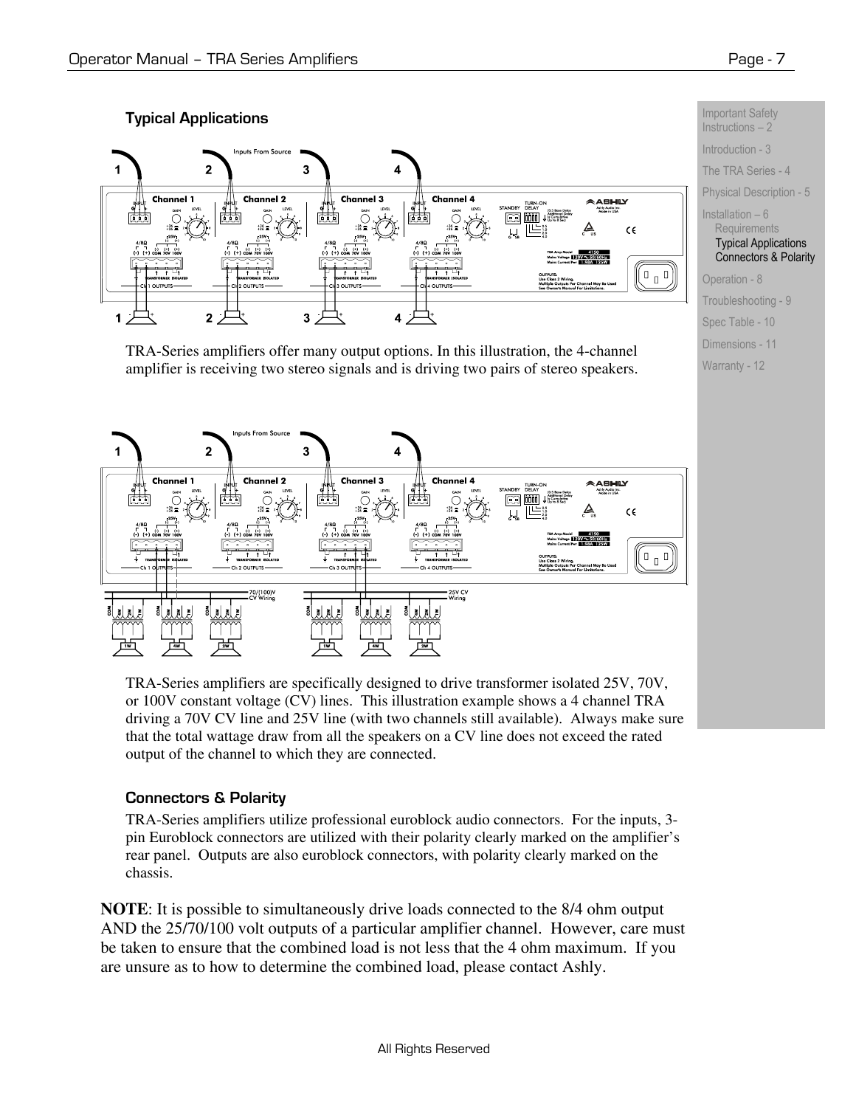

TRA-Series amplifiers offer many output options. In this illustration, the 4-channel amplifier is receiving two stereo signals and is driving two pairs of stereo speakers.



TRA-Series amplifiers are specifically designed to drive transformer isolated 25V, 70V, or 100V constant voltage (CV) lines. This illustration example shows a 4 channel TRA driving a 70V CV line and 25V line (with two channels still available). Always make sure that the total wattage draw from all the speakers on a CV line does not exceed the rated output of the channel to which they are connected.

### **Connectors & Polarity**

TRA-Series amplifiers utilize professional euroblock audio connectors. For the inputs, 3 pin Euroblock connectors are utilized with their polarity clearly marked on the amplifier's rear panel. Outputs are also euroblock connectors, with polarity clearly marked on the chassis.

**NOTE**: It is possible to simultaneously drive loads connected to the 8/4 ohm output AND the 25/70/100 volt outputs of a particular amplifier channel. However, care must be taken to ensure that the combined load is not less that the 4 ohm maximum. If you are unsure as to how to determine the combined load, please contact Ashly.

Important Safety Instructions – 2 Introduction - 3 The TRA Series - 4 Physical Description - 5

Installation – 6 **Requirements** Typical Applications Connectors & Polarity

Operation - 8 Troubleshooting - 9 Spec Table - 10 Dimensions - 11 Warranty - 12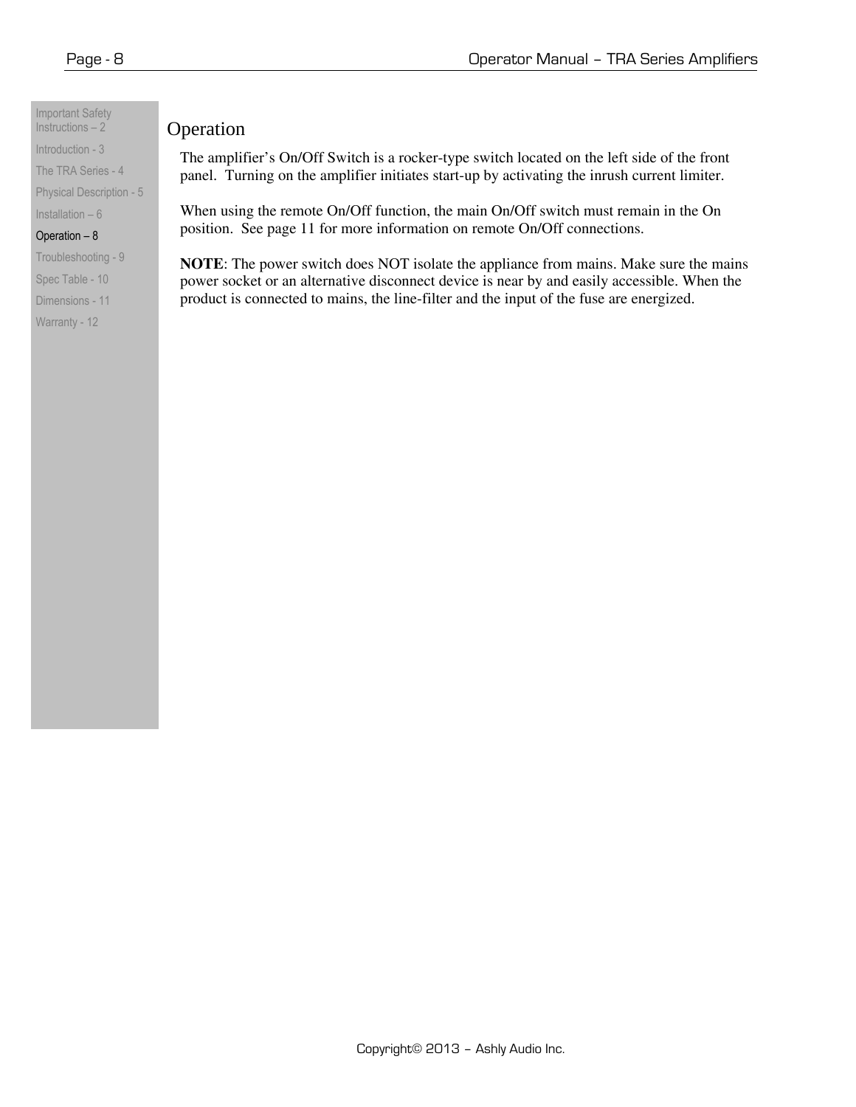Important Safety Instructions  $-2$ Introduction - 3 The TRA Series - 4 Physical Description - 5

Installation – 6 Operation – 8 Troubleshooting - 9 Spec Table - 10 Dimensions - 11 Warranty - 12

## Operation

The amplifier's On/Off Switch is a rocker-type switch located on the left side of the front panel. Turning on the amplifier initiates start-up by activating the inrush current limiter.

When using the remote On/Off function, the main On/Off switch must remain in the On position. See page 11 for more information on remote On/Off connections.

**NOTE**: The power switch does NOT isolate the appliance from mains. Make sure the mains power socket or an alternative disconnect device is near by and easily accessible. When the product is connected to mains, the line-filter and the input of the fuse are energized.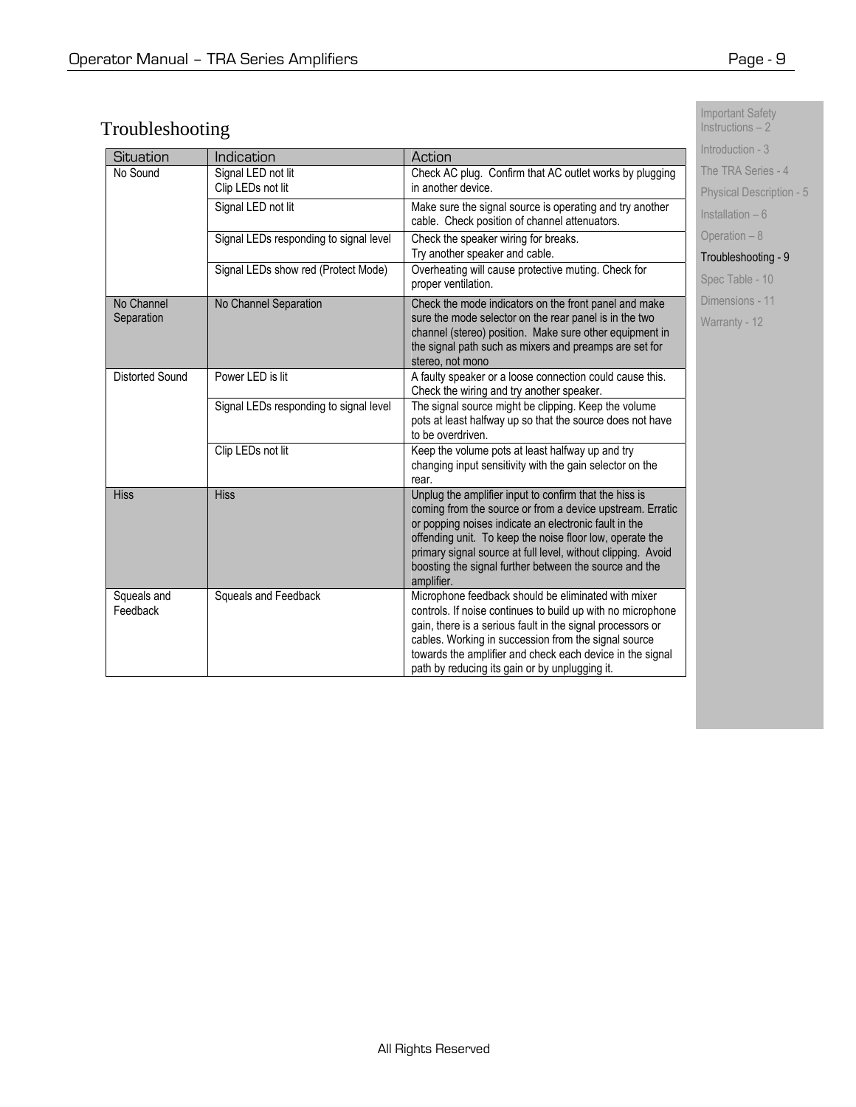# Troubleshooting

|                                                            | Introduction - 3                       |                                                                                                           |                                 |
|------------------------------------------------------------|----------------------------------------|-----------------------------------------------------------------------------------------------------------|---------------------------------|
| Situation                                                  | Indication                             | Action                                                                                                    |                                 |
| No Sound                                                   | Signal LED not lit                     | Check AC plug. Confirm that AC outlet works by plugging                                                   | The TRA Series - 4              |
|                                                            | Clip LEDs not lit                      | in another device.                                                                                        | <b>Physical Description - 5</b> |
|                                                            | Signal LED not lit                     | Make sure the signal source is operating and try another<br>cable. Check position of channel attenuators. | Installation $-6$               |
|                                                            | Signal LEDs responding to signal level | Check the speaker wiring for breaks.                                                                      | Operation - 8                   |
|                                                            |                                        | Try another speaker and cable.                                                                            | Troubleshooting - 9             |
| Signal LEDs show red (Protect Mode)<br>proper ventilation. |                                        | Overheating will cause protective muting. Check for                                                       | Spec Table - 10                 |
| No Channel                                                 | No Channel Separation                  | Check the mode indicators on the front panel and make                                                     | Dimensions - 11                 |
| Separation                                                 |                                        | sure the mode selector on the rear panel is in the two                                                    | Warranty - 12                   |
|                                                            |                                        | channel (stereo) position. Make sure other equipment in                                                   |                                 |
|                                                            |                                        | the signal path such as mixers and preamps are set for                                                    |                                 |
|                                                            |                                        | stereo, not mono                                                                                          |                                 |
| Distorted Sound                                            | Power LED is lit                       | A faulty speaker or a loose connection could cause this.                                                  |                                 |
|                                                            | Signal LEDs responding to signal level | Check the wiring and try another speaker.<br>The signal source might be clipping. Keep the volume         |                                 |
|                                                            |                                        | pots at least halfway up so that the source does not have                                                 |                                 |
|                                                            |                                        | to be overdriven.                                                                                         |                                 |
|                                                            | Clip LEDs not lit                      | Keep the volume pots at least halfway up and try                                                          |                                 |
|                                                            |                                        | changing input sensitivity with the gain selector on the                                                  |                                 |
|                                                            |                                        | rear.                                                                                                     |                                 |
| <b>Hiss</b>                                                | <b>Hiss</b>                            | Unplug the amplifier input to confirm that the hiss is                                                    |                                 |
|                                                            |                                        | coming from the source or from a device upstream. Erratic                                                 |                                 |
|                                                            |                                        | or popping noises indicate an electronic fault in the                                                     |                                 |
|                                                            |                                        | offending unit. To keep the noise floor low, operate the                                                  |                                 |
|                                                            |                                        | primary signal source at full level, without clipping. Avoid                                              |                                 |
|                                                            |                                        | boosting the signal further between the source and the<br>amplifier.                                      |                                 |
| Squeals and                                                | Squeals and Feedback                   | Microphone feedback should be eliminated with mixer                                                       |                                 |
| Feedback                                                   |                                        | controls. If noise continues to build up with no microphone                                               |                                 |
|                                                            |                                        | gain, there is a serious fault in the signal processors or                                                |                                 |
|                                                            |                                        | cables. Working in succession from the signal source                                                      |                                 |
|                                                            |                                        | towards the amplifier and check each device in the signal                                                 |                                 |
|                                                            |                                        | path by reducing its gain or by unplugging it.                                                            |                                 |

Important Safety Instructions – 2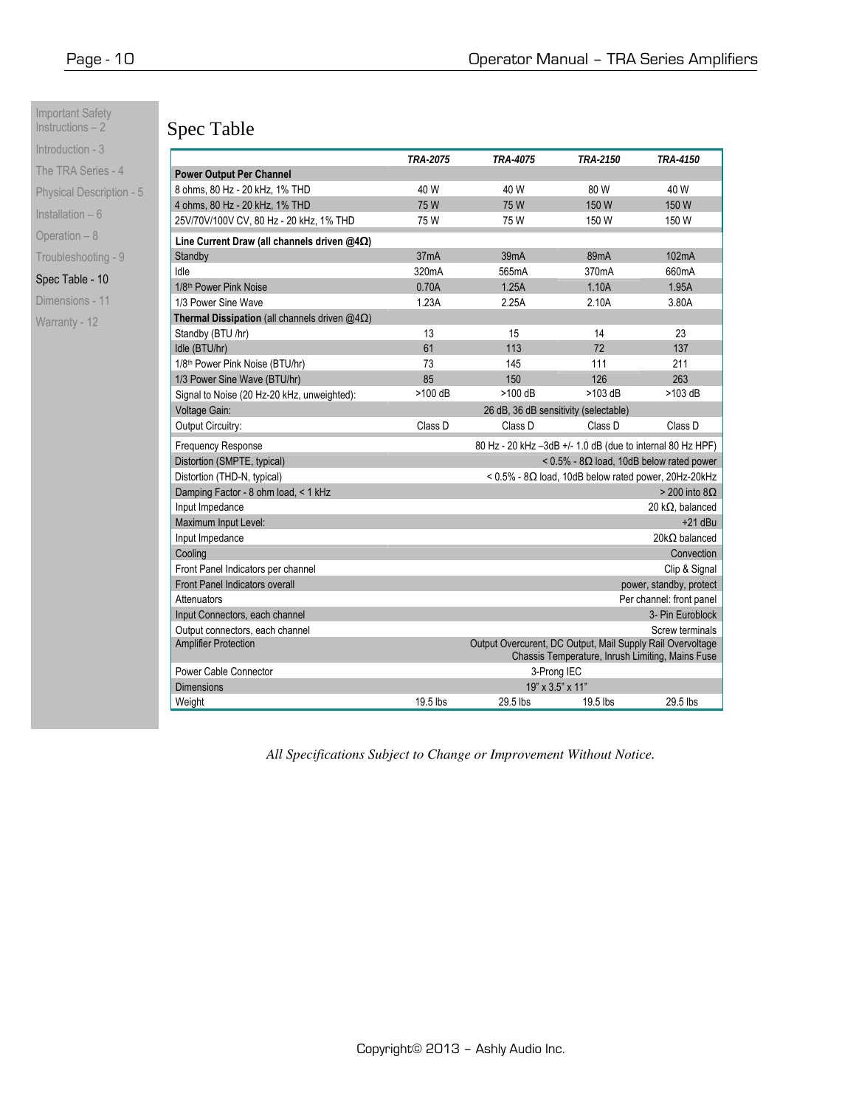Important Safety Instructions – 2 Introduction - 3

| The TRA Series - 4              |  |  |  |  |
|---------------------------------|--|--|--|--|
| <b>Physical Description - 5</b> |  |  |  |  |
| Installation - 6                |  |  |  |  |
| Operation - 8                   |  |  |  |  |
| Troubleshooting - 9             |  |  |  |  |
| Spec Table - 10                 |  |  |  |  |
| Dimensions - 11                 |  |  |  |  |
| Warranty - 12                   |  |  |  |  |
|                                 |  |  |  |  |
|                                 |  |  |  |  |

# Spec Table

|                                                                                                                                               | TRA-2075                                            | TRA-4075                                                   | <i>TRA-2150</i>                                                | <i><b>TRA-4150</b></i>   |  |
|-----------------------------------------------------------------------------------------------------------------------------------------------|-----------------------------------------------------|------------------------------------------------------------|----------------------------------------------------------------|--------------------------|--|
| <b>Power Output Per Channel</b>                                                                                                               |                                                     |                                                            |                                                                |                          |  |
| 8 ohms, 80 Hz - 20 kHz, 1% THD                                                                                                                | 40 W                                                | 40 W                                                       | 80 W                                                           | 40 W                     |  |
| 4 ohms, 80 Hz - 20 kHz, 1% THD                                                                                                                | 75W                                                 | 75W                                                        | 150 W                                                          | 150 W                    |  |
| 25V/70V/100V CV, 80 Hz - 20 kHz, 1% THD                                                                                                       | 75W                                                 | 75 W                                                       | 150 W                                                          | 150 W                    |  |
| Line Current Draw (all channels driven $@4\Omega$ )                                                                                           |                                                     |                                                            |                                                                |                          |  |
| Standby                                                                                                                                       | 37 <sub>m</sub> A                                   | 39 <sub>m</sub> A                                          | 89 <sub>m</sub> A                                              | 102mA                    |  |
| Idle                                                                                                                                          | 320mA                                               | 565mA                                                      | 370mA                                                          | 660mA                    |  |
| 1/8 <sup>th</sup> Power Pink Noise                                                                                                            | 0.70A                                               | 1.25A                                                      | 1.10A                                                          | 1.95A                    |  |
| 1/3 Power Sine Wave                                                                                                                           | 1.23A                                               | 2.25A                                                      | 2.10A                                                          | 3.80A                    |  |
| <b>Thermal Dissipation</b> (all channels driven $@4\Omega$ )                                                                                  |                                                     |                                                            |                                                                |                          |  |
| Standby (BTU /hr)                                                                                                                             | 13                                                  | 15                                                         | 14                                                             | 23                       |  |
| Idle (BTU/hr)                                                                                                                                 | 61                                                  | 113                                                        | 72                                                             | 137                      |  |
| 1/8th Power Pink Noise (BTU/hr)                                                                                                               | 73                                                  | 145                                                        | 111                                                            | 211                      |  |
| 1/3 Power Sine Wave (BTU/hr)                                                                                                                  | 85                                                  | 150                                                        | 126                                                            | 263                      |  |
| Signal to Noise (20 Hz-20 kHz, unweighted):                                                                                                   | >100 dB                                             | >100 dB                                                    | $>103$ dB                                                      | $>103$ dB                |  |
| Voltage Gain:                                                                                                                                 |                                                     | 26 dB, 36 dB sensitivity (selectable)                      |                                                                |                          |  |
| Output Circuitry:                                                                                                                             | Class D                                             | Class D                                                    | Class D                                                        | Class D                  |  |
| <b>Frequency Response</b>                                                                                                                     |                                                     | 80 Hz - 20 kHz -3dB +/- 1.0 dB (due to internal 80 Hz HPF) |                                                                |                          |  |
| Distortion (SMPTE, typical)                                                                                                                   | < $0.5\%$ - 8 $\Omega$ load, 10dB below rated power |                                                            |                                                                |                          |  |
| Distortion (THD-N, typical)                                                                                                                   |                                                     |                                                            | $<$ 0.5% - 8 $\Omega$ load, 10dB below rated power, 20Hz-20kHz |                          |  |
| Damping Factor - 8 ohm load, < 1 kHz                                                                                                          |                                                     |                                                            |                                                                | $>$ 200 into 8 $\Omega$  |  |
| Input Impedance                                                                                                                               |                                                     |                                                            |                                                                | 20 k $\Omega$ , balanced |  |
| Maximum Input Level:                                                                                                                          |                                                     |                                                            |                                                                | $+21$ dBu                |  |
| Input Impedance                                                                                                                               |                                                     |                                                            |                                                                | $20k\Omega$ balanced     |  |
| Cooling                                                                                                                                       | Convection                                          |                                                            |                                                                |                          |  |
| Front Panel Indicators per channel                                                                                                            | Clip & Signal                                       |                                                            |                                                                |                          |  |
| <b>Front Panel Indicators overall</b><br>power, standby, protect                                                                              |                                                     |                                                            |                                                                |                          |  |
| Per channel: front panel<br>Attenuators                                                                                                       |                                                     |                                                            |                                                                |                          |  |
| Input Connectors, each channel                                                                                                                | 3- Pin Euroblock                                    |                                                            |                                                                |                          |  |
| Output connectors, each channel                                                                                                               | Screw terminals                                     |                                                            |                                                                |                          |  |
| Output Overcurent, DC Output, Mail Supply Rail Overvoltage<br><b>Amplifier Protection</b><br>Chassis Temperature, Inrush Limiting, Mains Fuse |                                                     |                                                            |                                                                |                          |  |
| Power Cable Connector                                                                                                                         |                                                     | 3-Prong IEC                                                |                                                                |                          |  |
| <b>Dimensions</b>                                                                                                                             |                                                     | 19" x 3.5" x 11"                                           |                                                                |                          |  |
| Weight                                                                                                                                        | 19.5 lbs                                            | 29.5 lbs                                                   | 19.5 lbs                                                       | 29.5 lbs                 |  |

*All Specifications Subject to Change or Improvement Without Notice.*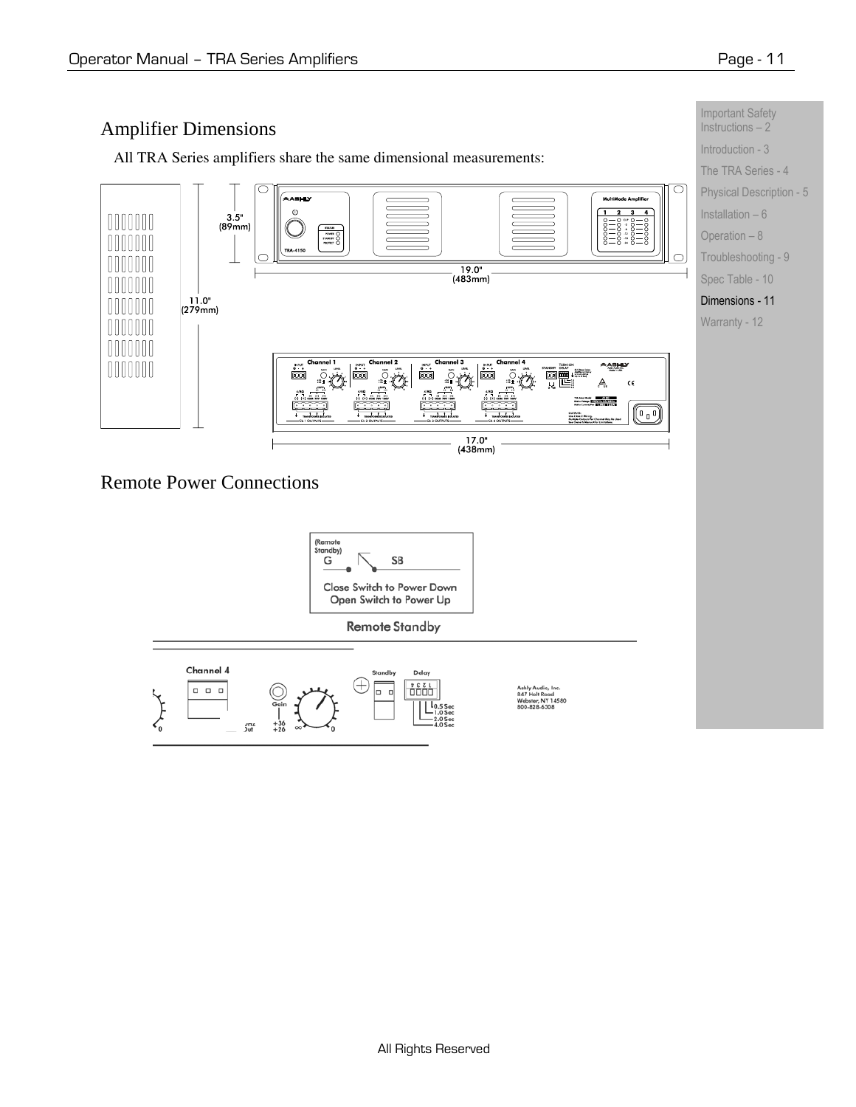